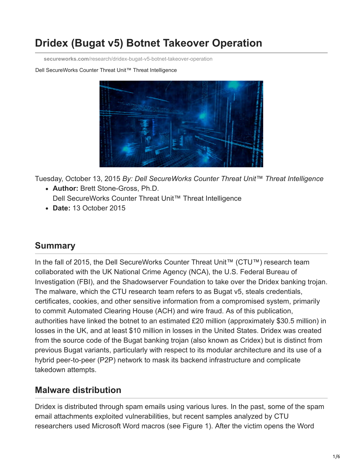# **Dridex (Bugat v5) Botnet Takeover Operation**

**secureworks.com**[/research/dridex-bugat-v5-botnet-takeover-operation](https://www.secureworks.com/research/dridex-bugat-v5-botnet-takeover-operation)

Dell SecureWorks Counter Threat Unit™ Threat Intelligence



Tuesday, October 13, 2015 *By: Dell SecureWorks Counter Threat Unit™ Threat Intelligence*

- **Author:** Brett Stone-Gross, Ph.D. Dell SecureWorks Counter Threat Unit™ Threat Intelligence
- **Date:** 13 October 2015

### **Summary**

In the fall of 2015, the Dell SecureWorks Counter Threat Unit™ (CTU™) research team collaborated with the UK National Crime Agency (NCA), the U.S. Federal Bureau of Investigation (FBI), and the Shadowserver Foundation to take over the Dridex banking trojan. The malware, which the CTU research team refers to as Bugat v5, steals credentials, certificates, cookies, and other sensitive information from a compromised system, primarily to commit Automated Clearing House (ACH) and wire fraud. As of this publication, authorities have linked the botnet to an estimated £20 million (approximately \$30.5 million) in losses in the UK, and at least \$10 million in losses in the United States. Dridex was created from the source code of the Bugat banking trojan (also known as Cridex) but is distinct from previous Bugat variants, particularly with respect to its modular architecture and its use of a hybrid peer-to-peer (P2P) network to mask its backend infrastructure and complicate takedown attempts.

### **Malware distribution**

Dridex is distributed through spam emails using various lures. In the past, some of the spam email attachments exploited vulnerabilities, but recent samples analyzed by CTU researchers used Microsoft Word macros (see Figure 1). After the victim opens the Word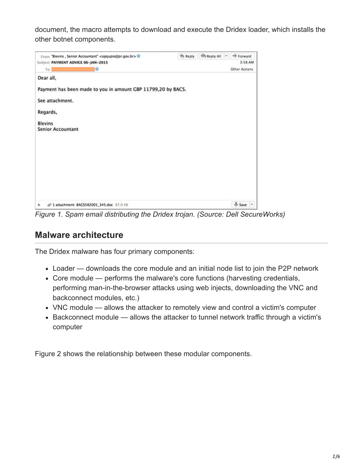document, the macro attempts to download and execute the Dridex loader, which installs the other botnet components.



*Figure 1. Spam email distributing the Dridex trojan. (Source: Dell SecureWorks)*

### **Malware architecture**

The Dridex malware has four primary components:

- Loader downloads the core module and an initial node list to join the P2P network
- Core module performs the malware's core functions (harvesting credentials, performing man-in-the-browser attacks using web injects, downloading the VNC and backconnect modules, etc.)
- VNC module allows the attacker to remotely view and control a victim's computer
- Backconnect module allows the attacker to tunnel network traffic through a victim's computer

Figure 2 shows the relationship between these modular components.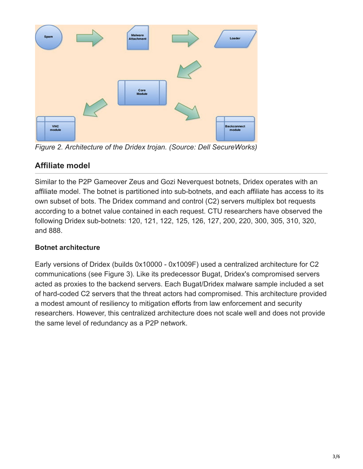

*Figure 2. Architecture of the Dridex trojan. (Source: Dell SecureWorks)*

### **Affiliate model**

Similar to the P2P Gameover Zeus and Gozi Neverquest botnets, Dridex operates with an affiliate model. The botnet is partitioned into sub-botnets, and each affiliate has access to its own subset of bots. The Dridex command and control (C2) servers multiplex bot requests according to a botnet value contained in each request. CTU researchers have observed the following Dridex sub-botnets: 120, 121, 122, 125, 126, 127, 200, 220, 300, 305, 310, 320, and 888.

### **Botnet architecture**

Early versions of Dridex (builds 0x10000 - 0x1009F) used a centralized architecture for C2 communications (see Figure 3). Like its predecessor Bugat, Dridex's compromised servers acted as proxies to the backend servers. Each Bugat/Dridex malware sample included a set of hard-coded C2 servers that the threat actors had compromised. This architecture provided a modest amount of resiliency to mitigation efforts from law enforcement and security researchers. However, this centralized architecture does not scale well and does not provide the same level of redundancy as a P2P network.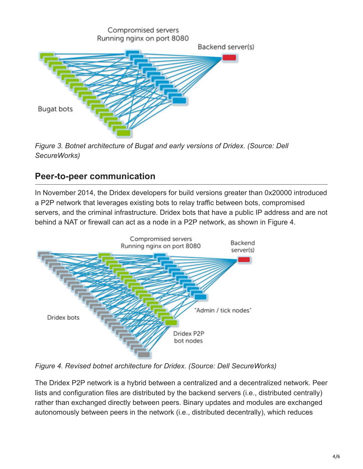

*Figure 3. Botnet architecture of Bugat and early versions of Dridex. (Source: Dell SecureWorks)*

### **Peer-to-peer communication**

In November 2014, the Dridex developers for build versions greater than 0x20000 introduced a P2P network that leverages existing bots to relay traffic between bots, compromised servers, and the criminal infrastructure. Dridex bots that have a public IP address and are not behind a NAT or firewall can act as a node in a P2P network, as shown in Figure 4.



*Figure 4. Revised botnet architecture for Dridex. (Source: Dell SecureWorks)*

The Dridex P2P network is a hybrid between a centralized and a decentralized network. Peer lists and configuration files are distributed by the backend servers (i.e., distributed centrally) rather than exchanged directly between peers. Binary updates and modules are exchanged autonomously between peers in the network (i.e., distributed decentrally), which reduces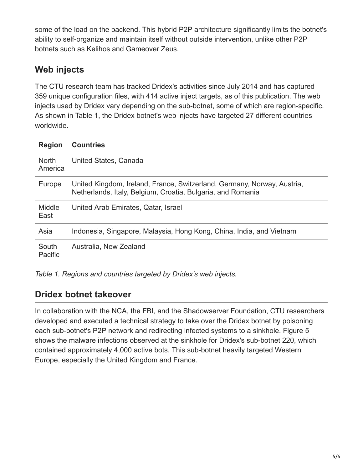some of the load on the backend. This hybrid P2P architecture significantly limits the botnet's ability to self-organize and maintain itself without outside intervention, unlike other P2P botnets such as Kelihos and Gameover Zeus.

## **Web injects**

The CTU research team has tracked Dridex's activities since July 2014 and has captured 359 unique configuration files, with 414 active inject targets, as of this publication. The web injects used by Dridex vary depending on the sub-botnet, some of which are region-specific. As shown in Table 1, the Dridex botnet's web injects have targeted 27 different countries worldwide.

| <b>Region</b>           | <b>Countries</b>                                                                                                                       |
|-------------------------|----------------------------------------------------------------------------------------------------------------------------------------|
| <b>North</b><br>America | United States, Canada                                                                                                                  |
| Europe                  | United Kingdom, Ireland, France, Switzerland, Germany, Norway, Austria,<br>Netherlands, Italy, Belgium, Croatia, Bulgaria, and Romania |
| Middle<br>East          | United Arab Emirates, Qatar, Israel                                                                                                    |
| Asia                    | Indonesia, Singapore, Malaysia, Hong Kong, China, India, and Vietnam                                                                   |
| South<br>Pacific        | Australia, New Zealand                                                                                                                 |

| Table 1. Regions and countries targeted by Dridex's web injects. |  |  |  |  |
|------------------------------------------------------------------|--|--|--|--|

### **Dridex botnet takeover**

In collaboration with the NCA, the FBI, and the Shadowserver Foundation, CTU researchers developed and executed a technical strategy to take over the Dridex botnet by poisoning each sub-botnet's P2P network and redirecting infected systems to a sinkhole. Figure 5 shows the malware infections observed at the sinkhole for Dridex's sub-botnet 220, which contained approximately 4,000 active bots. This sub-botnet heavily targeted Western Europe, especially the United Kingdom and France.